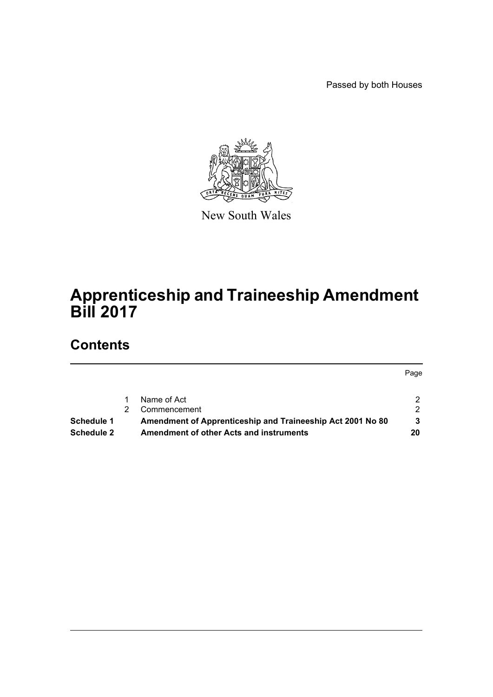Passed by both Houses

Page



New South Wales

# **Apprenticeship and Traineeship Amendment Bill 2017**

# **Contents**

[1 Name of Act 2](#page-2-0) [2 Commencement 2](#page-2-1) 2 **[Schedule 1 Amendment of Apprenticeship and Traineeship Act 2001 No 80 3](#page-3-0) [Schedule 2 Amendment of other Acts and instruments 20](#page-20-0)**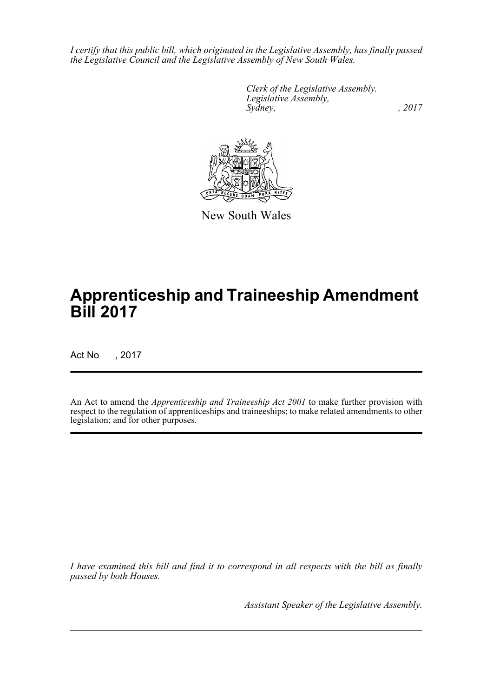*I certify that this public bill, which originated in the Legislative Assembly, has finally passed the Legislative Council and the Legislative Assembly of New South Wales.*

> *Clerk of the Legislative Assembly. Legislative Assembly, Sydney,* , 2017



New South Wales

# **Apprenticeship and Traineeship Amendment Bill 2017**

Act No , 2017

An Act to amend the *Apprenticeship and Traineeship Act 2001* to make further provision with respect to the regulation of apprenticeships and traineeships; to make related amendments to other legislation; and for other purposes.

*I have examined this bill and find it to correspond in all respects with the bill as finally passed by both Houses.*

*Assistant Speaker of the Legislative Assembly.*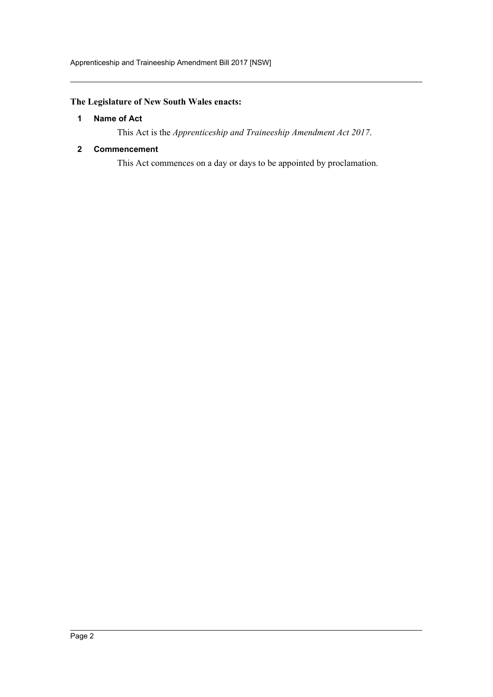## <span id="page-2-0"></span>**The Legislature of New South Wales enacts:**

## **1 Name of Act**

This Act is the *Apprenticeship and Traineeship Amendment Act 2017*.

## <span id="page-2-1"></span>**2 Commencement**

This Act commences on a day or days to be appointed by proclamation.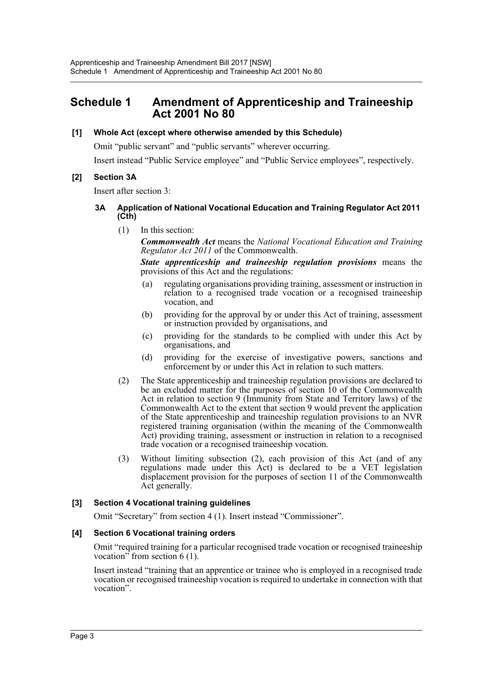# <span id="page-3-0"></span>**Schedule 1 Amendment of Apprenticeship and Traineeship Act 2001 No 80**

## **[1] Whole Act (except where otherwise amended by this Schedule)**

Omit "public servant" and "public servants" wherever occurring.

Insert instead "Public Service employee" and "Public Service employees", respectively.

## **[2] Section 3A**

Insert after section 3:

## **3A Application of National Vocational Education and Training Regulator Act 2011 (Cth)**

(1) In this section:

*Commonwealth Act* means the *National Vocational Education and Training Regulator Act 2011* of the Commonwealth.

*State apprenticeship and traineeship regulation provisions* means the provisions of this Act and the regulations:

- (a) regulating organisations providing training, assessment or instruction in relation to a recognised trade vocation or a recognised traineeship vocation, and
- (b) providing for the approval by or under this Act of training, assessment or instruction provided by organisations, and
- (c) providing for the standards to be complied with under this Act by organisations, and
- (d) providing for the exercise of investigative powers, sanctions and enforcement by or under this Act in relation to such matters.
- (2) The State apprenticeship and traineeship regulation provisions are declared to be an excluded matter for the purposes of section 10 of the Commonwealth Act in relation to section 9 (Immunity from State and Territory laws) of the Commonwealth Act to the extent that section 9 would prevent the application of the State apprenticeship and traineeship regulation provisions to an NVR registered training organisation (within the meaning of the Commonwealth Act) providing training, assessment or instruction in relation to a recognised trade vocation or a recognised traineeship vocation.
- (3) Without limiting subsection (2), each provision of this Act (and of any regulations made under this Act) is declared to be a VET legislation displacement provision for the purposes of section 11 of the Commonwealth Act generally.

## **[3] Section 4 Vocational training guidelines**

Omit "Secretary" from section 4 (1). Insert instead "Commissioner".

#### **[4] Section 6 Vocational training orders**

Omit "required training for a particular recognised trade vocation or recognised traineeship vocation" from section  $6(1)$ .

Insert instead "training that an apprentice or trainee who is employed in a recognised trade vocation or recognised traineeship vocation is required to undertake in connection with that vocation".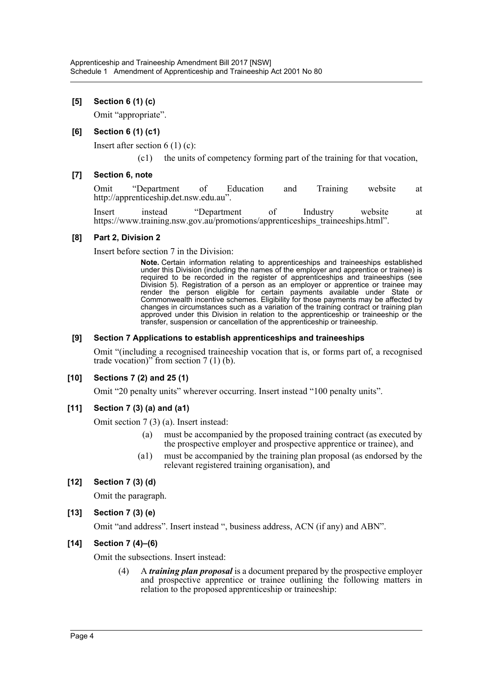## **[5] Section 6 (1) (c)**

Omit "appropriate".

### **[6] Section 6 (1) (c1)**

Insert after section 6 (1) (c):

(c1) the units of competency forming part of the training for that vocation,

#### **[7] Section 6, note**

Omit "Department of Education and Training website at http://apprenticeship.det.nsw.edu.au".

Insert instead "Department of Industry website at https://www.training.nsw.gov.au/promotions/apprenticeships\_traineeships.html".

#### **[8] Part 2, Division 2**

Insert before section 7 in the Division:

**Note.** Certain information relating to apprenticeships and traineeships established under this Division (including the names of the employer and apprentice or trainee) is required to be recorded in the register of apprenticeships and traineeships (see Division 5). Registration of a person as an employer or apprentice or trainee may render the person eligible for certain payments available under State or Commonwealth incentive schemes. Eligibility for those payments may be affected by changes in circumstances such as a variation of the training contract or training plan approved under this Division in relation to the apprenticeship or traineeship or the transfer, suspension or cancellation of the apprenticeship or traineeship.

#### **[9] Section 7 Applications to establish apprenticeships and traineeships**

Omit "(including a recognised traineeship vocation that is, or forms part of, a recognised trade vocation)" from section  $7(1)(b)$ .

#### **[10] Sections 7 (2) and 25 (1)**

Omit "20 penalty units" wherever occurring. Insert instead "100 penalty units".

#### **[11] Section 7 (3) (a) and (a1)**

Omit section 7 (3) (a). Insert instead:

- (a) must be accompanied by the proposed training contract (as executed by the prospective employer and prospective apprentice or trainee), and
- (a1) must be accompanied by the training plan proposal (as endorsed by the relevant registered training organisation), and

**[12] Section 7 (3) (d)**

Omit the paragraph.

**[13] Section 7 (3) (e)**

Omit "and address". Insert instead ", business address, ACN (if any) and ABN".

#### **[14] Section 7 (4)–(6)**

Omit the subsections. Insert instead:

(4) A *training plan proposal* is a document prepared by the prospective employer and prospective apprentice or trainee outlining the following matters in relation to the proposed apprenticeship or traineeship: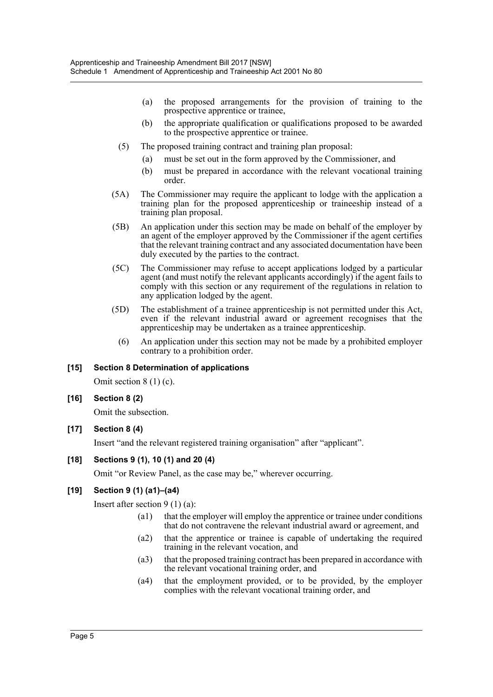- (a) the proposed arrangements for the provision of training to the prospective apprentice or trainee,
- (b) the appropriate qualification or qualifications proposed to be awarded to the prospective apprentice or trainee.
- (5) The proposed training contract and training plan proposal:
	- (a) must be set out in the form approved by the Commissioner, and
	- (b) must be prepared in accordance with the relevant vocational training order.
- (5A) The Commissioner may require the applicant to lodge with the application a training plan for the proposed apprenticeship or traineeship instead of a training plan proposal.
- (5B) An application under this section may be made on behalf of the employer by an agent of the employer approved by the Commissioner if the agent certifies that the relevant training contract and any associated documentation have been duly executed by the parties to the contract.
- (5C) The Commissioner may refuse to accept applications lodged by a particular agent (and must notify the relevant applicants accordingly) if the agent fails to comply with this section or any requirement of the regulations in relation to any application lodged by the agent.
- (5D) The establishment of a trainee apprenticeship is not permitted under this Act, even if the relevant industrial award or agreement recognises that the apprenticeship may be undertaken as a trainee apprenticeship.
	- (6) An application under this section may not be made by a prohibited employer contrary to a prohibition order.

#### **[15] Section 8 Determination of applications**

Omit section 8 (1) (c).

#### **[16] Section 8 (2)**

Omit the subsection.

## **[17] Section 8 (4)**

Insert "and the relevant registered training organisation" after "applicant".

## **[18] Sections 9 (1), 10 (1) and 20 (4)**

Omit "or Review Panel, as the case may be," wherever occurring.

## **[19] Section 9 (1) (a1)–(a4)**

Insert after section 9 (1) (a):

- (a1) that the employer will employ the apprentice or trainee under conditions that do not contravene the relevant industrial award or agreement, and
- (a2) that the apprentice or trainee is capable of undertaking the required training in the relevant vocation, and
- (a3) that the proposed training contract has been prepared in accordance with the relevant vocational training order, and
- (a4) that the employment provided, or to be provided, by the employer complies with the relevant vocational training order, and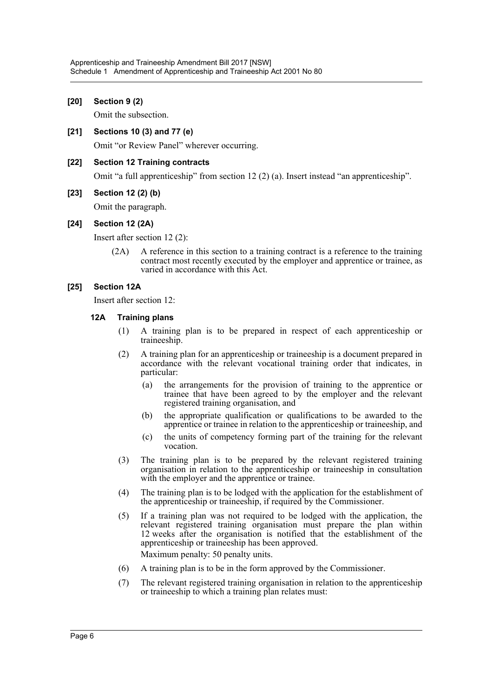### **[20] Section 9 (2)**

Omit the subsection.

**[21] Sections 10 (3) and 77 (e)**

Omit "or Review Panel" wherever occurring.

## **[22] Section 12 Training contracts**

Omit "a full apprenticeship" from section 12 (2) (a). Insert instead "an apprenticeship".

#### **[23] Section 12 (2) (b)**

Omit the paragraph.

#### **[24] Section 12 (2A)**

Insert after section 12 (2):

(2A) A reference in this section to a training contract is a reference to the training contract most recently executed by the employer and apprentice or trainee, as varied in accordance with this Act.

#### **[25] Section 12A**

Insert after section 12:

#### **12A Training plans**

- (1) A training plan is to be prepared in respect of each apprenticeship or traineeship.
- (2) A training plan for an apprenticeship or traineeship is a document prepared in accordance with the relevant vocational training order that indicates, in particular:
	- (a) the arrangements for the provision of training to the apprentice or trainee that have been agreed to by the employer and the relevant registered training organisation, and
	- (b) the appropriate qualification or qualifications to be awarded to the apprentice or trainee in relation to the apprenticeship or traineeship, and
	- (c) the units of competency forming part of the training for the relevant vocation.
- (3) The training plan is to be prepared by the relevant registered training organisation in relation to the apprenticeship or traineeship in consultation with the employer and the apprentice or trainee.
- (4) The training plan is to be lodged with the application for the establishment of the apprenticeship or traineeship, if required by the Commissioner.
- (5) If a training plan was not required to be lodged with the application, the relevant registered training organisation must prepare the plan within 12 weeks after the organisation is notified that the establishment of the apprenticeship or traineeship has been approved. Maximum penalty: 50 penalty units.
- (6) A training plan is to be in the form approved by the Commissioner.
- (7) The relevant registered training organisation in relation to the apprenticeship or traineeship to which a training plan relates must: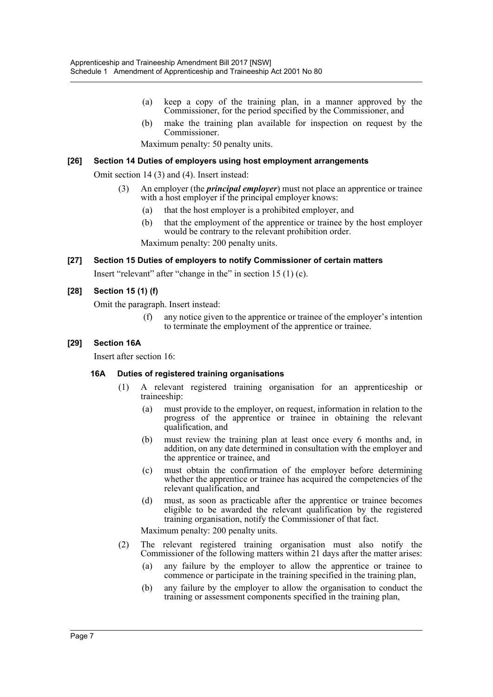- (a) keep a copy of the training plan, in a manner approved by the Commissioner, for the period specified by the Commissioner, and
- (b) make the training plan available for inspection on request by the Commissioner.

Maximum penalty: 50 penalty units.

#### **[26] Section 14 Duties of employers using host employment arrangements**

Omit section 14 (3) and (4). Insert instead:

- (3) An employer (the *principal employer*) must not place an apprentice or trainee with a host employer if the principal employer knows:
	- (a) that the host employer is a prohibited employer, and
	- (b) that the employment of the apprentice or trainee by the host employer would be contrary to the relevant prohibition order.

Maximum penalty: 200 penalty units.

#### **[27] Section 15 Duties of employers to notify Commissioner of certain matters**

Insert "relevant" after "change in the" in section 15 (1) (c).

#### **[28] Section 15 (1) (f)**

Omit the paragraph. Insert instead:

(f) any notice given to the apprentice or trainee of the employer's intention to terminate the employment of the apprentice or trainee.

#### **[29] Section 16A**

Insert after section 16:

#### **16A Duties of registered training organisations**

- (1) A relevant registered training organisation for an apprenticeship or traineeship:
	- (a) must provide to the employer, on request, information in relation to the progress of the apprentice or trainee in obtaining the relevant qualification, and
	- (b) must review the training plan at least once every 6 months and, in addition, on any date determined in consultation with the employer and the apprentice or trainee, and
	- (c) must obtain the confirmation of the employer before determining whether the apprentice or trainee has acquired the competencies of the relevant qualification, and
	- (d) must, as soon as practicable after the apprentice or trainee becomes eligible to be awarded the relevant qualification by the registered training organisation, notify the Commissioner of that fact.

Maximum penalty: 200 penalty units.

- (2) The relevant registered training organisation must also notify the Commissioner of the following matters within 21 days after the matter arises:
	- (a) any failure by the employer to allow the apprentice or trainee to commence or participate in the training specified in the training plan,
	- (b) any failure by the employer to allow the organisation to conduct the training or assessment components specified in the training plan,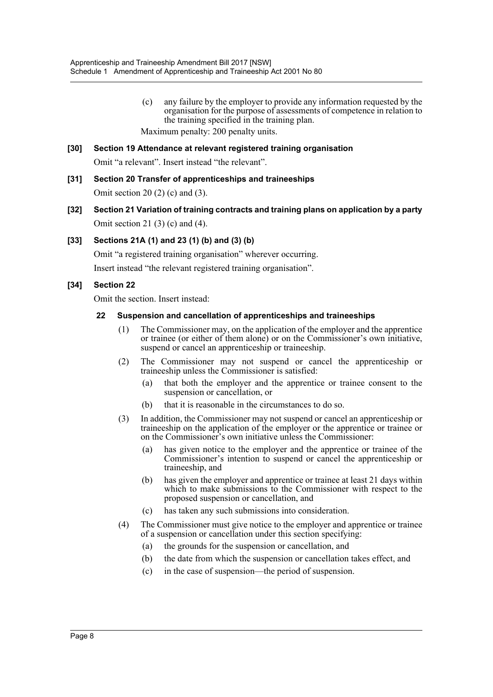- (c) any failure by the employer to provide any information requested by the organisation for the purpose of assessments of competence in relation to the training specified in the training plan. Maximum penalty: 200 penalty units.
- **[30] Section 19 Attendance at relevant registered training organisation** Omit "a relevant". Insert instead "the relevant".
- **[31] Section 20 Transfer of apprenticeships and traineeships** Omit section 20 (2) (c) and (3).
- **[32] Section 21 Variation of training contracts and training plans on application by a party** Omit section 21 (3) (c) and (4).

## **[33] Sections 21A (1) and 23 (1) (b) and (3) (b)**

Omit "a registered training organisation" wherever occurring.

Insert instead "the relevant registered training organisation".

## **[34] Section 22**

Omit the section. Insert instead:

### **22 Suspension and cancellation of apprenticeships and traineeships**

- (1) The Commissioner may, on the application of the employer and the apprentice or trainee (or either of them alone) or on the Commissioner's own initiative, suspend or cancel an apprenticeship or traineeship.
- (2) The Commissioner may not suspend or cancel the apprenticeship or traineeship unless the Commissioner is satisfied:
	- (a) that both the employer and the apprentice or trainee consent to the suspension or cancellation, or
	- (b) that it is reasonable in the circumstances to do so.
- (3) In addition, the Commissioner may not suspend or cancel an apprenticeship or traineeship on the application of the employer or the apprentice or trainee or on the Commissioner's own initiative unless the Commissioner:
	- (a) has given notice to the employer and the apprentice or trainee of the Commissioner's intention to suspend or cancel the apprenticeship or traineeship, and
	- (b) has given the employer and apprentice or trainee at least 21 days within which to make submissions to the Commissioner with respect to the proposed suspension or cancellation, and
	- (c) has taken any such submissions into consideration.
- (4) The Commissioner must give notice to the employer and apprentice or trainee of a suspension or cancellation under this section specifying:
	- (a) the grounds for the suspension or cancellation, and
	- (b) the date from which the suspension or cancellation takes effect, and
	- (c) in the case of suspension—the period of suspension.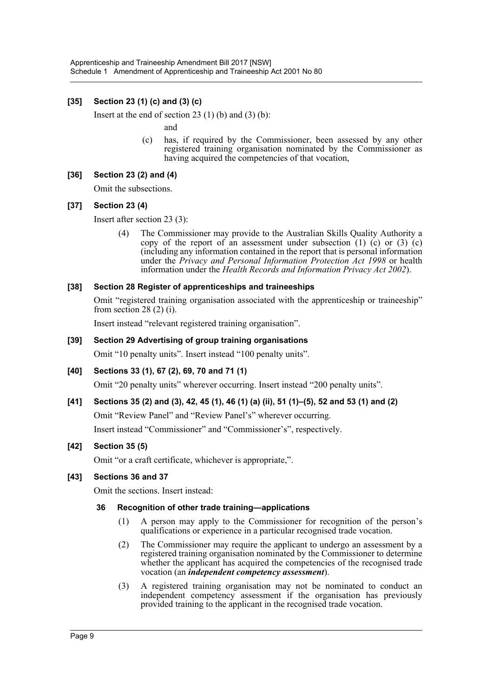## **[35] Section 23 (1) (c) and (3) (c)**

Insert at the end of section  $23(1)$  (b) and  $(3)$  (b):

and

(c) has, if required by the Commissioner, been assessed by any other registered training organisation nominated by the Commissioner as having acquired the competencies of that vocation,

## **[36] Section 23 (2) and (4)**

Omit the subsections.

## **[37] Section 23 (4)**

Insert after section 23 (3):

(4) The Commissioner may provide to the Australian Skills Quality Authority a copy of the report of an assessment under subsection  $(1)$   $(c)$  or  $(3)$   $(c)$ (including any information contained in the report that is personal information under the *Privacy and Personal Information Protection Act 1998* or health information under the *Health Records and Information Privacy Act 2002*).

#### **[38] Section 28 Register of apprenticeships and traineeships**

Omit "registered training organisation associated with the apprenticeship or traineeship" from section 28 $(2)$  $(i)$ .

Insert instead "relevant registered training organisation".

## **[39] Section 29 Advertising of group training organisations**

Omit "10 penalty units". Insert instead "100 penalty units".

#### **[40] Sections 33 (1), 67 (2), 69, 70 and 71 (1)**

Omit "20 penalty units" wherever occurring. Insert instead "200 penalty units".

## **[41] Sections 35 (2) and (3), 42, 45 (1), 46 (1) (a) (ii), 51 (1)–(5), 52 and 53 (1) and (2)**

Omit "Review Panel" and "Review Panel's" wherever occurring.

Insert instead "Commissioner" and "Commissioner's", respectively.

#### **[42] Section 35 (5)**

Omit "or a craft certificate, whichever is appropriate,".

#### **[43] Sections 36 and 37**

Omit the sections. Insert instead:

#### **36 Recognition of other trade training—applications**

- (1) A person may apply to the Commissioner for recognition of the person's qualifications or experience in a particular recognised trade vocation.
- (2) The Commissioner may require the applicant to undergo an assessment by a registered training organisation nominated by the Commissioner to determine whether the applicant has acquired the competencies of the recognised trade vocation (an *independent competency assessment*).
- (3) A registered training organisation may not be nominated to conduct an independent competency assessment if the organisation has previously provided training to the applicant in the recognised trade vocation.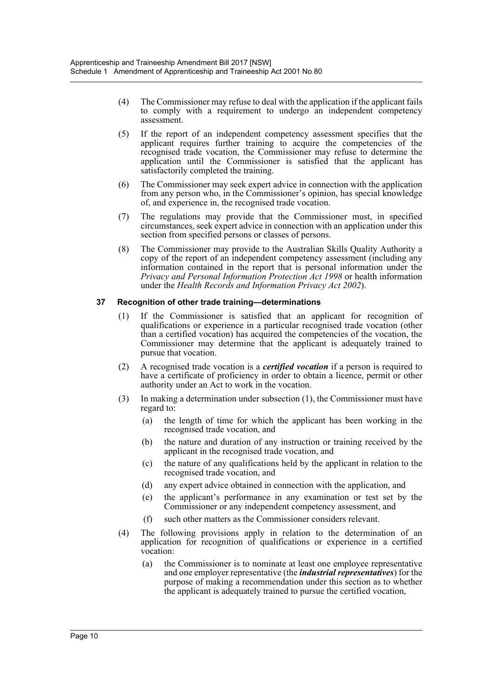- (4) The Commissioner may refuse to deal with the application if the applicant fails to comply with a requirement to undergo an independent competency assessment.
- (5) If the report of an independent competency assessment specifies that the applicant requires further training to acquire the competencies of the recognised trade vocation, the Commissioner may refuse to determine the application until the Commissioner is satisfied that the applicant has satisfactorily completed the training.
- (6) The Commissioner may seek expert advice in connection with the application from any person who, in the Commissioner's opinion, has special knowledge of, and experience in, the recognised trade vocation.
- (7) The regulations may provide that the Commissioner must, in specified circumstances, seek expert advice in connection with an application under this section from specified persons or classes of persons.
- (8) The Commissioner may provide to the Australian Skills Quality Authority a copy of the report of an independent competency assessment (including any information contained in the report that is personal information under the *Privacy and Personal Information Protection Act 1998* or health information under the *Health Records and Information Privacy Act 2002*).

## **37 Recognition of other trade training—determinations**

- (1) If the Commissioner is satisfied that an applicant for recognition of qualifications or experience in a particular recognised trade vocation (other than a certified vocation) has acquired the competencies of the vocation, the Commissioner may determine that the applicant is adequately trained to pursue that vocation.
- (2) A recognised trade vocation is a *certified vocation* if a person is required to have a certificate of proficiency in order to obtain a licence, permit or other authority under an Act to work in the vocation.
- (3) In making a determination under subsection (1), the Commissioner must have regard to:
	- (a) the length of time for which the applicant has been working in the recognised trade vocation, and
	- (b) the nature and duration of any instruction or training received by the applicant in the recognised trade vocation, and
	- (c) the nature of any qualifications held by the applicant in relation to the recognised trade vocation, and
	- (d) any expert advice obtained in connection with the application, and
	- (e) the applicant's performance in any examination or test set by the Commissioner or any independent competency assessment, and
	- (f) such other matters as the Commissioner considers relevant.
- (4) The following provisions apply in relation to the determination of an application for recognition of qualifications or experience in a certified vocation:
	- (a) the Commissioner is to nominate at least one employee representative and one employer representative (the *industrial representatives*) for the purpose of making a recommendation under this section as to whether the applicant is adequately trained to pursue the certified vocation,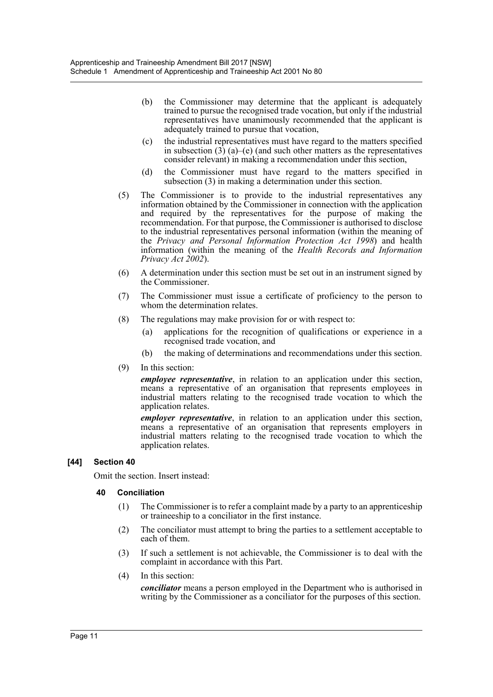- (b) the Commissioner may determine that the applicant is adequately trained to pursue the recognised trade vocation, but only if the industrial representatives have unanimously recommended that the applicant is adequately trained to pursue that vocation,
- (c) the industrial representatives must have regard to the matters specified in subsection  $(3)$   $(a)$ – $(e)$  (and such other matters as the representatives consider relevant) in making a recommendation under this section,
- (d) the Commissioner must have regard to the matters specified in subsection (3) in making a determination under this section.
- (5) The Commissioner is to provide to the industrial representatives any information obtained by the Commissioner in connection with the application and required by the representatives for the purpose of making the recommendation. For that purpose, the Commissioner is authorised to disclose to the industrial representatives personal information (within the meaning of the *Privacy and Personal Information Protection Act 1998*) and health information (within the meaning of the *Health Records and Information Privacy Act 2002*).
- (6) A determination under this section must be set out in an instrument signed by the Commissioner.
- (7) The Commissioner must issue a certificate of proficiency to the person to whom the determination relates.
- (8) The regulations may make provision for or with respect to:
	- (a) applications for the recognition of qualifications or experience in a recognised trade vocation, and
	- (b) the making of determinations and recommendations under this section.
- (9) In this section:

*employee representative*, in relation to an application under this section, means a representative of an organisation that represents employees in industrial matters relating to the recognised trade vocation to which the application relates.

*employer representative*, in relation to an application under this section, means a representative of an organisation that represents employers in industrial matters relating to the recognised trade vocation to which the application relates.

#### **[44] Section 40**

Omit the section. Insert instead:

#### **40 Conciliation**

- (1) The Commissioner is to refer a complaint made by a party to an apprenticeship or traineeship to a conciliator in the first instance.
- (2) The conciliator must attempt to bring the parties to a settlement acceptable to each of them.
- (3) If such a settlement is not achievable, the Commissioner is to deal with the complaint in accordance with this Part.
- (4) In this section:

*conciliator* means a person employed in the Department who is authorised in writing by the Commissioner as a conciliator for the purposes of this section.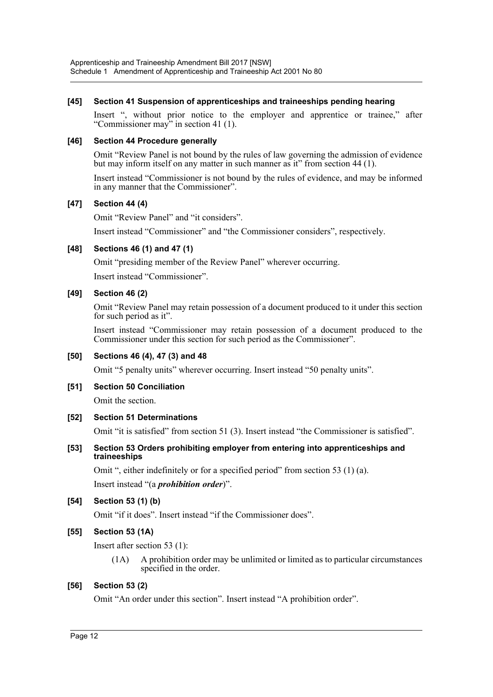## **[45] Section 41 Suspension of apprenticeships and traineeships pending hearing**

Insert ", without prior notice to the employer and apprentice or trainee," after "Commissioner may" in section 41 (1).

### **[46] Section 44 Procedure generally**

Omit "Review Panel is not bound by the rules of law governing the admission of evidence but may inform itself on any matter in such manner as it" from section 44 (1).

Insert instead "Commissioner is not bound by the rules of evidence, and may be informed in any manner that the Commissioner".

## **[47] Section 44 (4)**

Omit "Review Panel" and "it considers".

Insert instead "Commissioner" and "the Commissioner considers", respectively.

## **[48] Sections 46 (1) and 47 (1)**

Omit "presiding member of the Review Panel" wherever occurring.

Insert instead "Commissioner".

## **[49] Section 46 (2)**

Omit "Review Panel may retain possession of a document produced to it under this section for such period as it".

Insert instead "Commissioner may retain possession of a document produced to the Commissioner under this section for such period as the Commissioner".

#### **[50] Sections 46 (4), 47 (3) and 48**

Omit "5 penalty units" wherever occurring. Insert instead "50 penalty units".

#### **[51] Section 50 Conciliation**

Omit the section.

#### **[52] Section 51 Determinations**

Omit "it is satisfied" from section 51 (3). Insert instead "the Commissioner is satisfied".

#### **[53] Section 53 Orders prohibiting employer from entering into apprenticeships and traineeships**

Omit ", either indefinitely or for a specified period" from section 53 (1) (a).

Insert instead "(a *prohibition order*)".

## **[54] Section 53 (1) (b)**

Omit "if it does". Insert instead "if the Commissioner does".

#### **[55] Section 53 (1A)**

Insert after section 53 (1):

(1A) A prohibition order may be unlimited or limited as to particular circumstances specified in the order.

#### **[56] Section 53 (2)**

Omit "An order under this section". Insert instead "A prohibition order".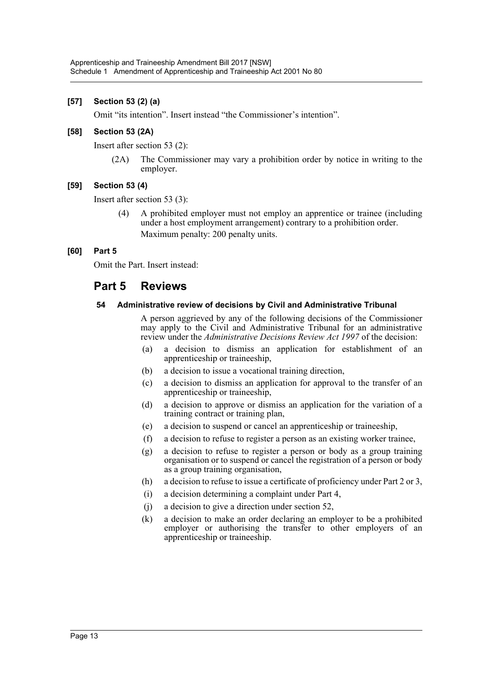## **[57] Section 53 (2) (a)**

Omit "its intention". Insert instead "the Commissioner's intention".

## **[58] Section 53 (2A)**

Insert after section 53 (2):

(2A) The Commissioner may vary a prohibition order by notice in writing to the employer.

## **[59] Section 53 (4)**

Insert after section 53 (3):

(4) A prohibited employer must not employ an apprentice or trainee (including under a host employment arrangement) contrary to a prohibition order. Maximum penalty: 200 penalty units.

## **[60] Part 5**

Omit the Part. Insert instead:

# **Part 5 Reviews**

#### **54 Administrative review of decisions by Civil and Administrative Tribunal**

A person aggrieved by any of the following decisions of the Commissioner may apply to the Civil and Administrative Tribunal for an administrative review under the *Administrative Decisions Review Act 1997* of the decision:

- (a) a decision to dismiss an application for establishment of an apprenticeship or traineeship,
- (b) a decision to issue a vocational training direction,
- (c) a decision to dismiss an application for approval to the transfer of an apprenticeship or traineeship,
- (d) a decision to approve or dismiss an application for the variation of a training contract or training plan,
- (e) a decision to suspend or cancel an apprenticeship or traineeship,
- (f) a decision to refuse to register a person as an existing worker trainee,
- (g) a decision to refuse to register a person or body as a group training organisation or to suspend or cancel the registration of a person or body as a group training organisation,
- (h) a decision to refuse to issue a certificate of proficiency under Part 2 or 3,
- (i) a decision determining a complaint under Part 4,
- (j) a decision to give a direction under section 52,
- (k) a decision to make an order declaring an employer to be a prohibited employer or authorising the transfer to other employers of an apprenticeship or traineeship.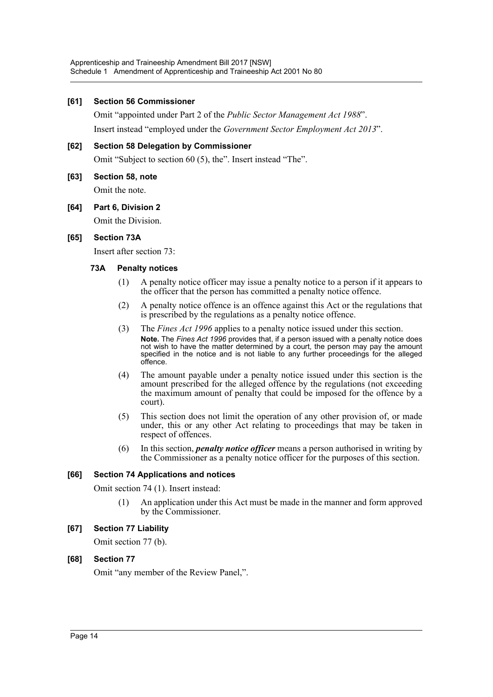#### **[61] Section 56 Commissioner**

Omit "appointed under Part 2 of the *Public Sector Management Act 1988*". Insert instead "employed under the *Government Sector Employment Act 2013*".

#### **[62] Section 58 Delegation by Commissioner**

Omit "Subject to section 60 (5), the". Insert instead "The".

**[63] Section 58, note**

Omit the note.

#### **[64] Part 6, Division 2**

Omit the Division.

#### **[65] Section 73A**

Insert after section 73:

#### **73A Penalty notices**

- (1) A penalty notice officer may issue a penalty notice to a person if it appears to the officer that the person has committed a penalty notice offence.
- (2) A penalty notice offence is an offence against this Act or the regulations that is prescribed by the regulations as a penalty notice offence.
- (3) The *Fines Act 1996* applies to a penalty notice issued under this section. **Note.** The *Fines Act 1996* provides that, if a person issued with a penalty notice does not wish to have the matter determined by a court, the person may pay the amount specified in the notice and is not liable to any further proceedings for the alleged offence.
- (4) The amount payable under a penalty notice issued under this section is the amount prescribed for the alleged offence by the regulations (not exceeding the maximum amount of penalty that could be imposed for the offence by a court).
- (5) This section does not limit the operation of any other provision of, or made under, this or any other Act relating to proceedings that may be taken in respect of offences.
- (6) In this section, *penalty notice officer* means a person authorised in writing by the Commissioner as a penalty notice officer for the purposes of this section.

#### **[66] Section 74 Applications and notices**

Omit section 74 (1). Insert instead:

(1) An application under this Act must be made in the manner and form approved by the Commissioner.

#### **[67] Section 77 Liability**

Omit section 77 (b).

#### **[68] Section 77**

Omit "any member of the Review Panel,".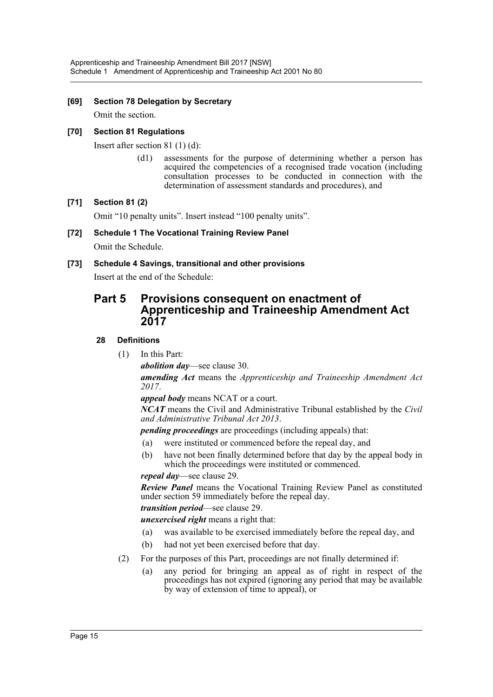## **[69] Section 78 Delegation by Secretary**

Omit the section.

## **[70] Section 81 Regulations**

Insert after section 81 (1) (d):

(d1) assessments for the purpose of determining whether a person has acquired the competencies of a recognised trade vocation (including consultation processes to be conducted in connection with the determination of assessment standards and procedures), and

## **[71] Section 81 (2)**

Omit "10 penalty units". Insert instead "100 penalty units".

## **[72] Schedule 1 The Vocational Training Review Panel**

Omit the Schedule.

## **[73] Schedule 4 Savings, transitional and other provisions**

Insert at the end of the Schedule:

# **Part 5 Provisions consequent on enactment of Apprenticeship and Traineeship Amendment Act 2017**

## **28 Definitions**

(1) In this Part:

*abolition day*—see clause 30.

*amending Act* means the *Apprenticeship and Traineeship Amendment Act 2017*.

*appeal body* means NCAT or a court.

*NCAT* means the Civil and Administrative Tribunal established by the *Civil and Administrative Tribunal Act 2013*.

*pending proceedings* are proceedings (including appeals) that:

- (a) were instituted or commenced before the repeal day, and
- (b) have not been finally determined before that day by the appeal body in which the proceedings were instituted or commenced.

#### *repeal day*—see clause 29.

*Review Panel* means the Vocational Training Review Panel as constituted under section 59 immediately before the repeal day.

*transition period*—see clause 29.

*unexercised right* means a right that:

- (a) was available to be exercised immediately before the repeal day, and
- (b) had not yet been exercised before that day.
- (2) For the purposes of this Part, proceedings are not finally determined if:
	- (a) any period for bringing an appeal as of right in respect of the proceedings has not expired (ignoring any period that may be available by way of extension of time to appeal), or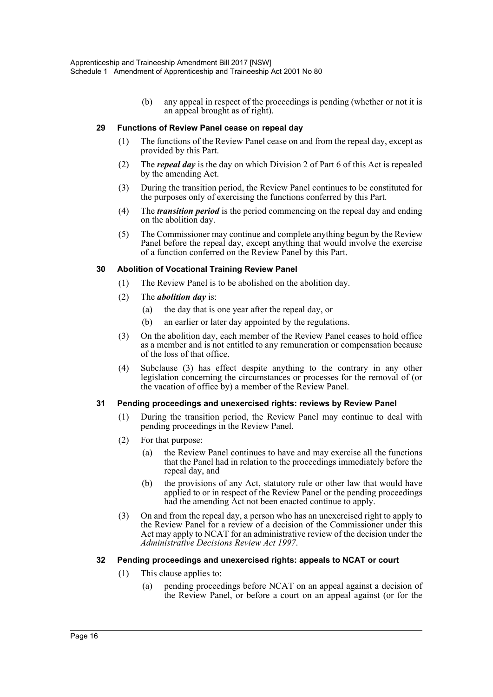(b) any appeal in respect of the proceedings is pending (whether or not it is an appeal brought as of right).

#### **29 Functions of Review Panel cease on repeal day**

- (1) The functions of the Review Panel cease on and from the repeal day, except as provided by this Part.
- (2) The *repeal day* is the day on which Division 2 of Part 6 of this Act is repealed by the amending Act.
- (3) During the transition period, the Review Panel continues to be constituted for the purposes only of exercising the functions conferred by this Part.
- (4) The *transition period* is the period commencing on the repeal day and ending on the abolition day.
- (5) The Commissioner may continue and complete anything begun by the Review Panel before the repeal day, except anything that would involve the exercise of a function conferred on the Review Panel by this Part.

## **30 Abolition of Vocational Training Review Panel**

- (1) The Review Panel is to be abolished on the abolition day.
- (2) The *abolition day* is:
	- (a) the day that is one year after the repeal day, or
	- (b) an earlier or later day appointed by the regulations.
- (3) On the abolition day, each member of the Review Panel ceases to hold office as a member and is not entitled to any remuneration or compensation because of the loss of that office.
- (4) Subclause (3) has effect despite anything to the contrary in any other legislation concerning the circumstances or processes for the removal of (or the vacation of office by) a member of the Review Panel.

#### **31 Pending proceedings and unexercised rights: reviews by Review Panel**

- (1) During the transition period, the Review Panel may continue to deal with pending proceedings in the Review Panel.
- (2) For that purpose:
	- (a) the Review Panel continues to have and may exercise all the functions that the Panel had in relation to the proceedings immediately before the repeal day, and
	- (b) the provisions of any Act, statutory rule or other law that would have applied to or in respect of the Review Panel or the pending proceedings had the amending Act not been enacted continue to apply.
- (3) On and from the repeal day, a person who has an unexercised right to apply to the Review Panel for a review of a decision of the Commissioner under this Act may apply to NCAT for an administrative review of the decision under the *Administrative Decisions Review Act 1997*.

#### **32 Pending proceedings and unexercised rights: appeals to NCAT or court**

- (1) This clause applies to:
	- (a) pending proceedings before NCAT on an appeal against a decision of the Review Panel, or before a court on an appeal against (or for the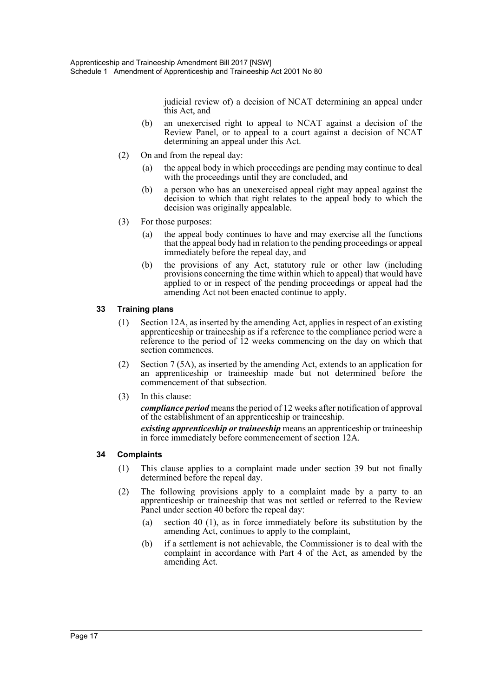judicial review of) a decision of NCAT determining an appeal under this Act, and

- (b) an unexercised right to appeal to NCAT against a decision of the Review Panel, or to appeal to a court against a decision of NCAT determining an appeal under this Act.
- (2) On and from the repeal day:
	- (a) the appeal body in which proceedings are pending may continue to deal with the proceedings until they are concluded, and
	- (b) a person who has an unexercised appeal right may appeal against the decision to which that right relates to the appeal body to which the decision was originally appealable.
- (3) For those purposes:
	- (a) the appeal body continues to have and may exercise all the functions that the appeal body had in relation to the pending proceedings or appeal immediately before the repeal day, and
	- (b) the provisions of any Act, statutory rule or other law (including provisions concerning the time within which to appeal) that would have applied to or in respect of the pending proceedings or appeal had the amending Act not been enacted continue to apply.

## **33 Training plans**

- (1) Section 12A, as inserted by the amending Act, applies in respect of an existing apprenticeship or traineeship as if a reference to the compliance period were a reference to the period of 12 weeks commencing on the day on which that section commences.
- (2) Section 7 (5A), as inserted by the amending Act, extends to an application for an apprenticeship or traineeship made but not determined before the commencement of that subsection.
- (3) In this clause:

*compliance period* means the period of 12 weeks after notification of approval of the establishment of an apprenticeship or traineeship.

*existing apprenticeship or traineeship* means an apprenticeship or traineeship in force immediately before commencement of section 12A.

#### **34 Complaints**

- (1) This clause applies to a complaint made under section 39 but not finally determined before the repeal day.
- (2) The following provisions apply to a complaint made by a party to an apprenticeship or traineeship that was not settled or referred to the Review Panel under section 40 before the repeal day:
	- (a) section 40 (1), as in force immediately before its substitution by the amending Act, continues to apply to the complaint,
	- (b) if a settlement is not achievable, the Commissioner is to deal with the complaint in accordance with Part 4 of the Act, as amended by the amending Act.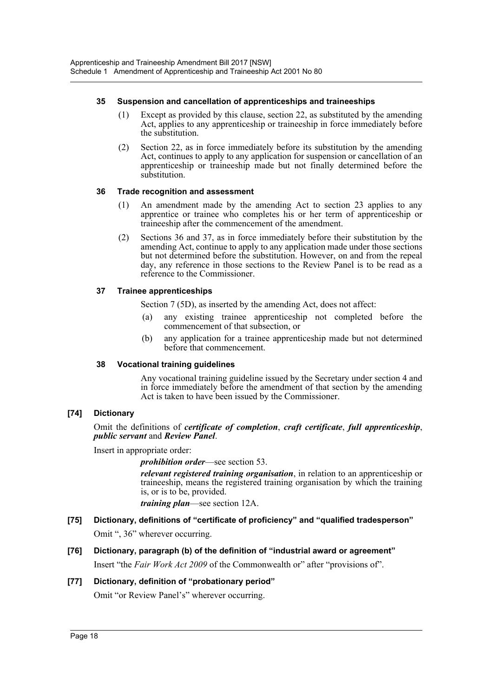### **35 Suspension and cancellation of apprenticeships and traineeships**

- (1) Except as provided by this clause, section 22, as substituted by the amending Act, applies to any apprenticeship or traineeship in force immediately before the substitution.
- (2) Section 22, as in force immediately before its substitution by the amending Act, continues to apply to any application for suspension or cancellation of an apprenticeship or traineeship made but not finally determined before the substitution.

## **36 Trade recognition and assessment**

- (1) An amendment made by the amending Act to section 23 applies to any apprentice or trainee who completes his or her term of apprenticeship or traineeship after the commencement of the amendment.
- (2) Sections 36 and 37, as in force immediately before their substitution by the amending Act, continue to apply to any application made under those sections but not determined before the substitution. However, on and from the repeal day, any reference in those sections to the Review Panel is to be read as a reference to the Commissioner.

## **37 Trainee apprenticeships**

Section 7 (5D), as inserted by the amending Act, does not affect:

- (a) any existing trainee apprenticeship not completed before the commencement of that subsection, or
- (b) any application for a trainee apprenticeship made but not determined before that commencement.

## **38 Vocational training guidelines**

Any vocational training guideline issued by the Secretary under section 4 and in force immediately before the amendment of that section by the amending Act is taken to have been issued by the Commissioner.

## **[74] Dictionary**

Omit the definitions of *certificate of completion*, *craft certificate*, *full apprenticeship*, *public servant* and *Review Panel*.

Insert in appropriate order:

*prohibition order*—see section 53.

*relevant registered training organisation*, in relation to an apprenticeship or traineeship, means the registered training organisation by which the training is, or is to be, provided.

*training plan*—see section 12A.

## **[75] Dictionary, definitions of "certificate of proficiency" and "qualified tradesperson"** Omit ", 36" wherever occurring.

# **[76] Dictionary, paragraph (b) of the definition of "industrial award or agreement"**

Insert "the *Fair Work Act 2009* of the Commonwealth or" after "provisions of".

## **[77] Dictionary, definition of "probationary period"**

Omit "or Review Panel's" wherever occurring.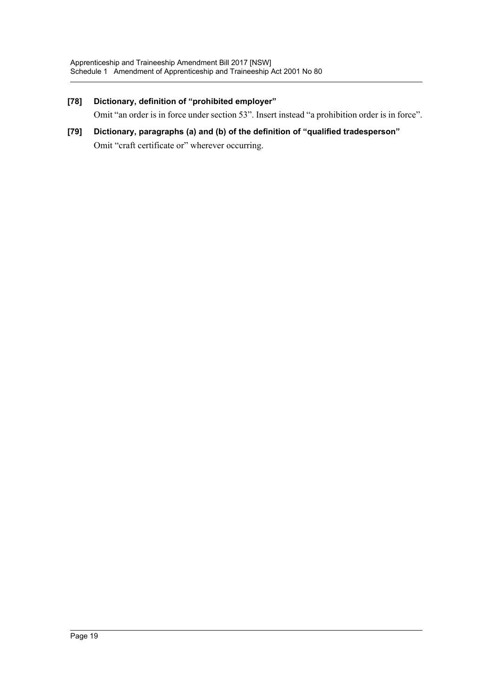## **[78] Dictionary, definition of "prohibited employer"**

Omit "an order is in force under section 53". Insert instead "a prohibition order is in force".

**[79] Dictionary, paragraphs (a) and (b) of the definition of "qualified tradesperson"** Omit "craft certificate or" wherever occurring.